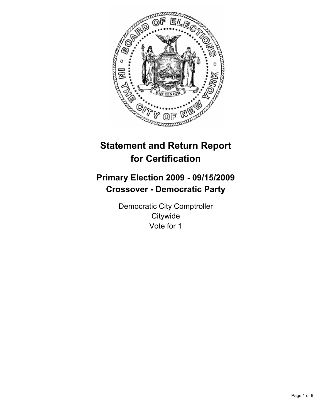

# **Statement and Return Report for Certification**

# **Primary Election 2009 - 09/15/2009 Crossover - Democratic Party**

Democratic City Comptroller **Citywide** Vote for 1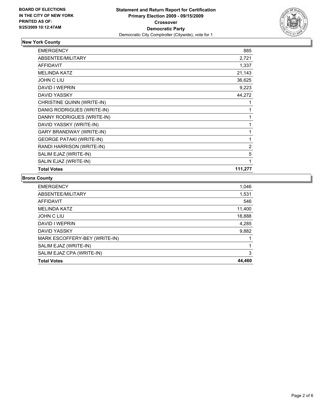

# **New York County**

| <b>EMERGENCY</b>                | 885     |
|---------------------------------|---------|
| <b>ABSENTEE/MILITARY</b>        | 2,721   |
| <b>AFFIDAVIT</b>                | 1,337   |
| <b>MELINDA KATZ</b>             | 21,143  |
| JOHN C LIU                      | 36,625  |
| DAVID I WEPRIN                  | 9,223   |
| DAVID YASSKY                    | 44,272  |
| CHRISTINE QUINN (WRITE-IN)      |         |
| DANIG RODRIGUES (WRITE-IN)      | 1       |
| DANNY RODRIGUES (WRITE-IN)      | 1       |
| DAVID YASSKY (WRITE-IN)         | 1       |
| GARY BRANDWAY (WRITE-IN)        | 1       |
| <b>GEORGE PATAKI (WRITE-IN)</b> | 1       |
| RANDI HARRISON (WRITE-IN)       | 2       |
| SALIM EJAZ (WRITE-IN)           | 5       |
| SALIN EJAZ (WRITE-IN)           | 1       |
| <b>Total Votes</b>              | 111,277 |

#### **Bronx County**

| <b>EMERGENCY</b>              | 1,046  |
|-------------------------------|--------|
| ABSENTEE/MILITARY             | 1,531  |
| <b>AFFIDAVIT</b>              | 546    |
| <b>MELINDA KATZ</b>           | 11,400 |
| JOHN C LIU                    | 18,888 |
| DAVID I WEPRIN                | 4,285  |
| <b>DAVID YASSKY</b>           | 9,882  |
| MARK ESCOFFERY-BEY (WRITE-IN) |        |
| SALIM EJAZ (WRITE-IN)         |        |
| SALIM EJAZ CPA (WRITE-IN)     | 3      |
| <b>Total Votes</b>            | 44,460 |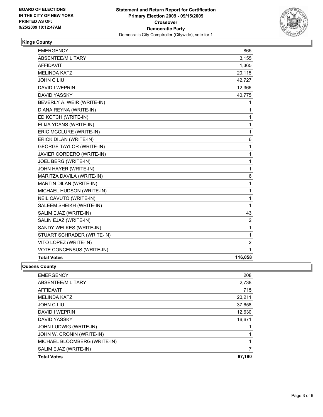

#### **Kings County**

| <b>EMERGENCY</b>                | 865          |
|---------------------------------|--------------|
| ABSENTEE/MILITARY               | 3,155        |
| <b>AFFIDAVIT</b>                | 1,365        |
| <b>MELINDA KATZ</b>             | 20,115       |
| <b>JOHN C LIU</b>               | 42,727       |
| <b>DAVID I WEPRIN</b>           | 12,366       |
| <b>DAVID YASSKY</b>             | 40,775       |
| BEVERLY A. WEIR (WRITE-IN)      | 1            |
| DIANA REYNA (WRITE-IN)          | 1            |
| ED KOTCH (WRITE-IN)             | 1            |
| ELIJA YDANS (WRITE-IN)          | 1            |
| ERIC MCCLURE (WRITE-IN)         | $\mathbf{1}$ |
| ERICK DILAN (WRITE-IN)          | 6            |
| <b>GEORGE TAYLOR (WRITE-IN)</b> | 1            |
| JAVIER CORDERO (WRITE-IN)       | 1            |
| <b>JOEL BERG (WRITE-IN)</b>     | 1            |
| JOHN HAYER (WRITE-IN)           | 1            |
| MARITZA DAVILA (WRITE-IN)       | 6            |
| MARTIN DILAN (WRITE-IN)         | 1            |
| MICHAEL HUDSON (WRITE-IN)       | 1            |
| NEIL CAVUTO (WRITE-IN)          | 1            |
| SALEEM SHEIKH (WRITE-IN)        | 1            |
| SALIM EJAZ (WRITE-IN)           | 43           |
| SALIN EJAZ (WRITE-IN)           | 2            |
| SANDY WELKES (WRITE-IN)         | 1            |
| STUART SCHRADER (WRITE-IN)      | 1            |
| VITO LOPEZ (WRITE-IN)           | 2            |
| VOTE CONCENSUS (WRITE-IN)       | 1            |
| <b>Total Votes</b>              | 116,058      |

#### **Queens County**

| <b>EMERGENCY</b>             | 208    |
|------------------------------|--------|
| ABSENTEE/MILITARY            | 2,738  |
| AFFIDAVIT                    | 715    |
| <b>MELINDA KATZ</b>          | 20,211 |
| <b>JOHN C LIU</b>            | 37,658 |
| DAVID I WEPRIN               | 12,630 |
| <b>DAVID YASSKY</b>          | 16,671 |
| JOHN LUDWIG (WRITE-IN)       |        |
| JOHN W. CRONIN (WRITE-IN)    |        |
| MICHAEL BLOOMBERG (WRITE-IN) | 1      |
| SALIM EJAZ (WRITE-IN)        | 7      |
| <b>Total Votes</b>           | 87,180 |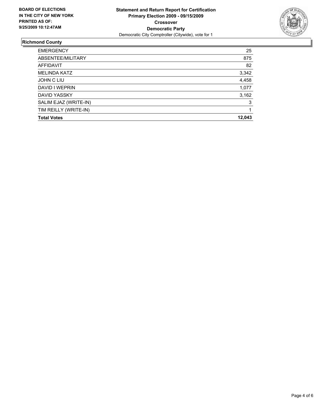

# **Richmond County**

| <b>EMERGENCY</b>      | 25     |
|-----------------------|--------|
| ABSENTEE/MILITARY     | 875    |
| <b>AFFIDAVIT</b>      | 82     |
| <b>MELINDA KATZ</b>   | 3,342  |
| JOHN C LIU            | 4,458  |
| DAVID I WEPRIN        | 1,077  |
| DAVID YASSKY          | 3,162  |
| SALIM EJAZ (WRITE-IN) | 3      |
| TIM REILLY (WRITE-IN) |        |
| <b>Total Votes</b>    | 12,043 |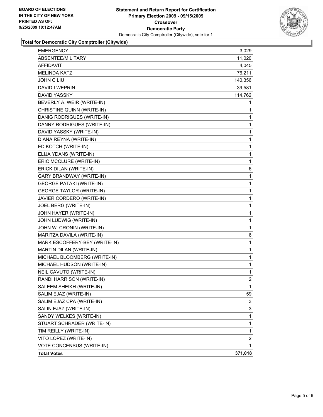

# **Total for Democratic City Comptroller (Citywide)**

| EMERGENCY                       | 3,029          |
|---------------------------------|----------------|
| ABSENTEE/MILITARY               | 11,020         |
| AFFIDAVIT                       | 4,045          |
| <b>MELINDA KATZ</b>             | 76,211         |
| JOHN C LIU                      | 140,356        |
| DAVID I WEPRIN                  | 39,581         |
| DAVID YASSKY                    | 114,762        |
| BEVERLY A. WEIR (WRITE-IN)      | 1              |
| CHRISTINE QUINN (WRITE-IN)      | 1              |
| DANIG RODRIGUES (WRITE-IN)      | 1              |
| DANNY RODRIGUES (WRITE-IN)      | 1              |
| DAVID YASSKY (WRITE-IN)         | 1              |
| DIANA REYNA (WRITE-IN)          | 1              |
| ED KOTCH (WRITE-IN)             | 1              |
| ELIJA YDANS (WRITE-IN)          | 1              |
| ERIC MCCLURE (WRITE-IN)         | 1              |
| ERICK DILAN (WRITE-IN)          | 6              |
| <b>GARY BRANDWAY (WRITE-IN)</b> | 1              |
| <b>GEORGE PATAKI (WRITE-IN)</b> | 1              |
| <b>GEORGE TAYLOR (WRITE-IN)</b> | 1              |
| JAVIER CORDERO (WRITE-IN)       | 1              |
| JOEL BERG (WRITE-IN)            | 1              |
| JOHN HAYER (WRITE-IN)           | 1              |
| JOHN LUDWIG (WRITE-IN)          | 1              |
| JOHN W. CRONIN (WRITE-IN)       | 1              |
| MARITZA DAVILA (WRITE-IN)       | 6              |
| MARK ESCOFFERY-BEY (WRITE-IN)   | 1              |
| MARTIN DILAN (WRITE-IN)         | 1              |
| MICHAEL BLOOMBERG (WRITE-IN)    | 1              |
| MICHAEL HUDSON (WRITE-IN)       | 1              |
| NEIL CAVUTO (WRITE-IN)          | 1              |
| RANDI HARRISON (WRITE-IN)       | $\overline{2}$ |
| SALEEM SHEIKH (WRITE-IN)        | 1              |
| SALIM EJAZ (WRITE-IN)           | 59             |
| SALIM EJAZ CPA (WRITE-IN)       | 3              |
| SALIN EJAZ (WRITE-IN)           | 3              |
| SANDY WELKES (WRITE-IN)         | 1              |
| STUART SCHRADER (WRITE-IN)      | 1              |
| TIM REILLY (WRITE-IN)           | 1              |
| VITO LOPEZ (WRITE-IN)           | 2              |
| VOTE CONCENSUS (WRITE-IN)       | 1              |
| <b>Total Votes</b>              | 371,018        |